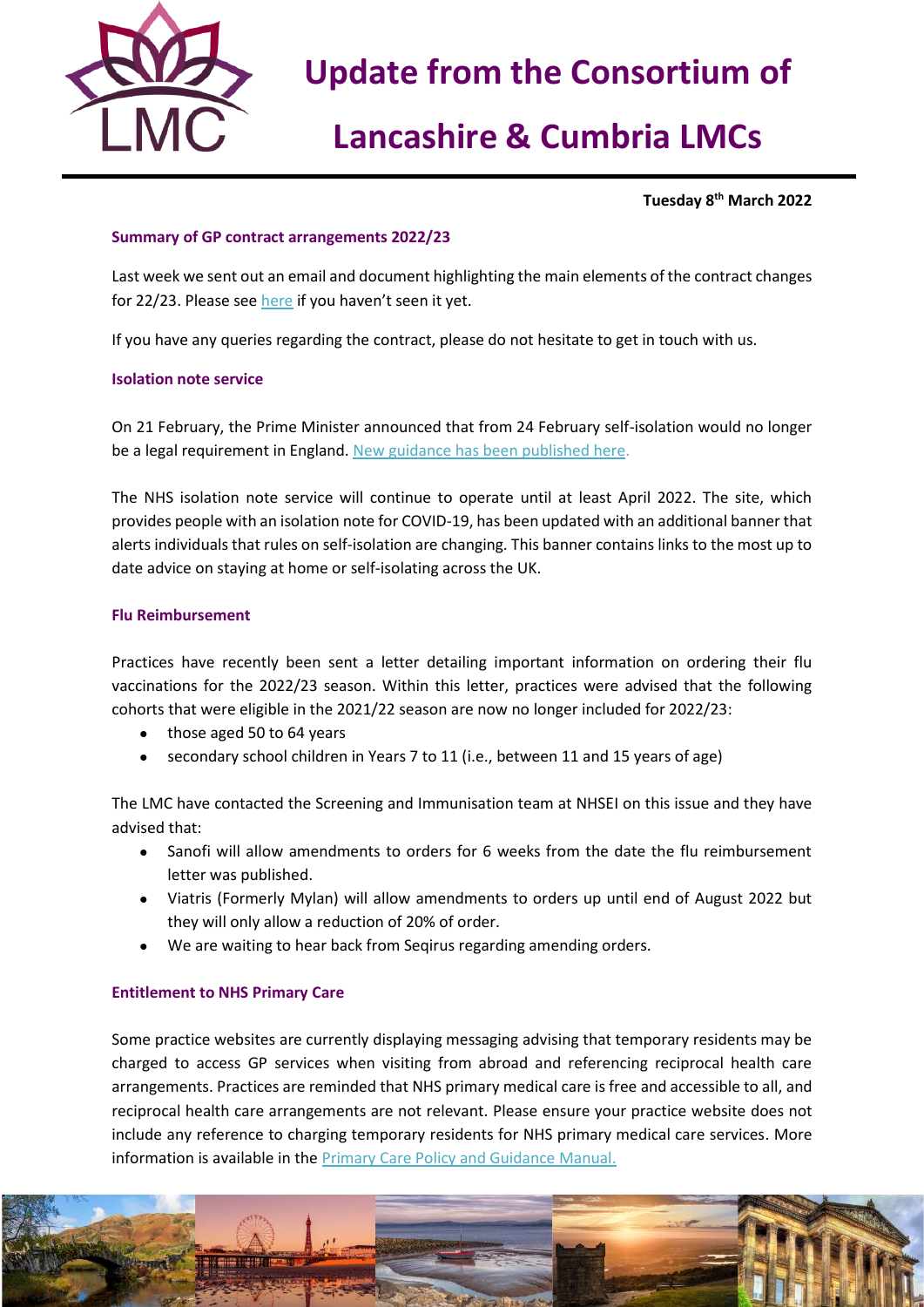

# **Update from the Consortium of**

# **Lancashire & Cumbria LMCs**

**Tuesday 8 th March 2022**

## **Summary of GP contract arrangements 2022/23**

Last week we sent out an email and document highlighting the main elements of the contract changes for 22/23. Please see [here](https://nwlmcs.org/news/summary-of-gp-contract-arrangements-22-23) if you haven't seen it yet.

If you have any queries regarding the contract, please do not hesitate to get in touch with us.

## **Isolation note service**

On 21 February, the Prime Minister announced that from 24 February self-isolation would no longer be a legal requirement in England[. New guidance has been published here.](https://generalpracticebulletin.cmail20.com/t/d-l-fltiuld-jutjldjudk-d/)

The NHS isolation note service will continue to operate until at least April 2022. The site, which provides people with an isolation note for COVID-19, has been updated with an additional banner that alerts individuals that rules on self-isolation are changing. This banner contains links to the most up to date advice on staying at home or self-isolating across the UK.

## **Flu Reimbursement**

Practices have recently been sent a letter detailing important information on ordering their flu vaccinations for the 2022/23 season. Within this letter, practices were advised that the following cohorts that were eligible in the 2021/22 season are now no longer included for 2022/23:

- those aged 50 to 64 years
- secondary school children in Years 7 to 11 (i.e., between 11 and 15 years of age)

The LMC have contacted the Screening and Immunisation team at NHSEI on this issue and they have advised that:

- Sanofi will allow amendments to orders for 6 weeks from the date the flu reimbursement letter was published.
- Viatris (Formerly Mylan) will allow amendments to orders up until end of August 2022 but they will only allow a reduction of 20% of order.
- We are waiting to hear back from Seqirus regarding amending orders.

## **Entitlement to NHS Primary Care**

Some practice websites are currently displaying messaging advising that temporary residents may be charged to access GP services when visiting from abroad and referencing reciprocal health care arrangements. Practices are reminded that NHS primary medical care is free and accessible to all, and reciprocal health care arrangements are not relevant. Please ensure your practice website does not include any reference to charging temporary residents for NHS primary medical care services. More information is available in the [Primary Care Policy and Guidance Manual.](https://generalpracticebulletin.cmail20.com/t/d-l-fltiuld-jutjldjudk-v/)